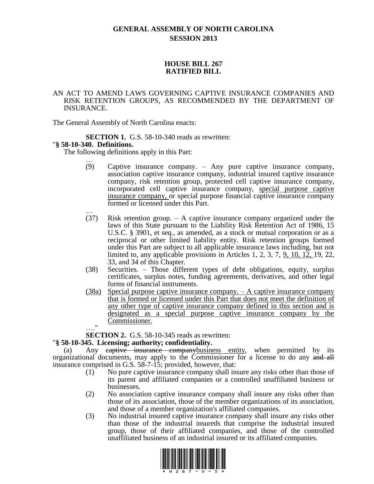# **GENERAL ASSEMBLY OF NORTH CAROLINA SESSION 2013**

## **HOUSE BILL 267 RATIFIED BILL**

### AN ACT TO AMEND LAWS GOVERNING CAPTIVE INSURANCE COMPANIES AND RISK RETENTION GROUPS, AS RECOMMENDED BY THE DEPARTMENT OF INSURANCE.

The General Assembly of North Carolina enacts:

**SECTION 1.** G.S. 58-10-340 reads as rewritten:

### "**§ 58-10-340. Definitions.**

The following definitions apply in this Part:

- … (9) Captive insurance company. – Any pure captive insurance company, association captive insurance company, industrial insured captive insurance company, risk retention group, protected cell captive insurance company, incorporated cell captive insurance company, special purpose captive insurance company, or special purpose financial captive insurance company formed or licensed under this Part.
- … (37) Risk retention group. – A captive insurance company organized under the laws of this State pursuant to the Liability Risk Retention Act of 1986, 15 U.S.C. § 3901, et seq., as amended, as a stock or mutual corporation or as a reciprocal or other limited liability entity. Risk retention groups formed under this Part are subject to all applicable insurance laws including, but not limited to, any applicable provisions in Articles 1, 2, 3, 7, 9, 10, 12, 19, 22, 33, and 34 of this Chapter.
- (38) Securities. Those different types of debt obligations, equity, surplus certificates, surplus notes, funding agreements, derivatives, and other legal forms of financial instruments.
- (38a) Special purpose captive insurance company. A captive insurance company that is formed or licensed under this Part that does not meet the definition of any other type of captive insurance company defined in this section and is designated as a special purpose captive insurance company by the Commissioner.  $^{\bullet}$

**SECTION 2.** G.S. 58-10-345 reads as rewritten:

### "**§ 58-10-345. Licensing; authority; confidentiality.**

(a) Any eaptive insurance companybusiness entity, when permitted by its organizational documents, may apply to the Commissioner for a license to do any and all insurance comprised in G.S. 58-7-15; provided, however, that:

- (1) No pure captive insurance company shall insure any risks other than those of its parent and affiliated companies or a controlled unaffiliated business or businesses.
- (2) No association captive insurance company shall insure any risks other than those of its association, those of the member organizations of its association, and those of a member organization's affiliated companies.
- (3) No industrial insured captive insurance company shall insure any risks other than those of the industrial insureds that comprise the industrial insured group, those of their affiliated companies, and those of the controlled unaffiliated business of an industrial insured or its affiliated companies.

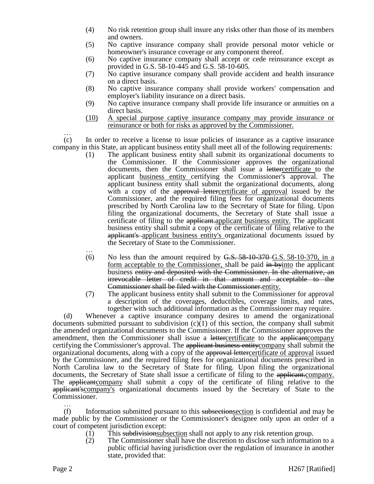- (4) No risk retention group shall insure any risks other than those of its members and owners.
- (5) No captive insurance company shall provide personal motor vehicle or homeowner's insurance coverage or any component thereof.
- (6) No captive insurance company shall accept or cede reinsurance except as provided in G.S. 58-10-445 and G.S. 58-10-605.
- (7) No captive insurance company shall provide accident and health insurance on a direct basis.
- (8) No captive insurance company shall provide workers' compensation and employer's liability insurance on a direct basis.
- (9) No captive insurance company shall provide life insurance or annuities on a direct basis.
- (10) A special purpose captive insurance company may provide insurance or reinsurance or both for risks as approved by the Commissioner.

…

(c) In order to receive a license to issue policies of insurance as a captive insurance company in this State, an applicant business entity shall meet all of the following requirements:

- (1) The applicant business entity shall submit its organizational documents to the Commissioner. If the Commissioner approves the organizational documents, then the Commissioner shall issue a lettercertificate to the applicant business entity certifying the Commissioner's approval. The applicant business entity shall submit the organizational documents, along with a copy of the approval lettercertificate of approval issued by the Commissioner, and the required filing fees for organizational documents prescribed by North Carolina law to the Secretary of State for filing. Upon filing the organizational documents, the Secretary of State shall issue a certificate of filing to the applicant.applicant business entity. The applicant business entity shall submit a copy of the certificate of filing relative to the applicant's applicant business entity's organizational documents issued by the Secretary of State to the Commissioner.
- … (6) No less than the amount required by  $\overline{G.S. 58-10-370}$  G.S. 58-10-370, in a form acceptable to the Commissioner, shall be paid in byinto the applicant business entity and deposited with the Commissioner. In the alternative, an irrevocable letter of credit in that amount and acceptable to the Commissioner shall be filed with the Commissioner.entity.
- (7) The applicant business entity shall submit to the Commissioner for approval a description of the coverages, deductibles, coverage limits, and rates, together with such additional information as the Commissioner may require.

(d) Whenever a captive insurance company desires to amend the organizational documents submitted pursuant to subdivision (c)(1) of this section, the company shall submit the amended organizational documents to the Commissioner. If the Commissioner approves the amendment, then the Commissioner shall issue a lettercertificate to the applicant company certifying the Commissioner's approval. The applicant business entity company shall submit the organizational documents, along with a copy of the approval lettercertificate of approval issued by the Commissioner, and the required filing fees for organizational documents prescribed in North Carolina law to the Secretary of State for filing. Upon filing the organizational documents, the Secretary of State shall issue a certificate of filing to the applicant.company. The applicant company shall submit a copy of the certificate of filing relative to the applicant'scompany's organizational documents issued by the Secretary of State to the Commissioner.

…  $(f)$  Information submitted pursuant to this subsections is confidential and may be made public by the Commissioner or the Commissioner's designee only upon an order of a court of competent jurisdiction except:

- (1) This subdivision subsection shall not apply to any risk retention group.
- (2) The Commissioner shall have the discretion to disclose such information to a public official having jurisdiction over the regulation of insurance in another state, provided that: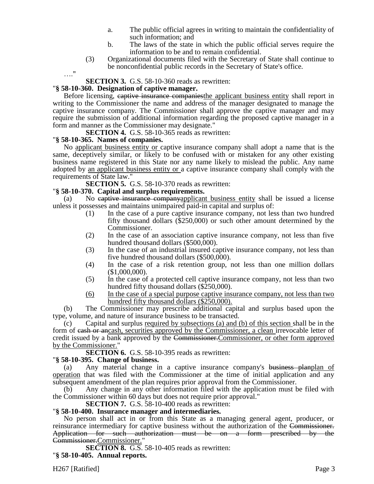- a. The public official agrees in writing to maintain the confidentiality of such information; and
- b. The laws of the state in which the public official serves require the information to be and to remain confidential.
- (3) Organizational documents filed with the Secretary of State shall continue to be nonconfidential public records in the Secretary of State's office.

…."

### **SECTION 3.** G.S. 58-10-360 reads as rewritten:

#### "**§ 58-10-360. Designation of captive manager.**

Before licensing, captive insurance companies the applicant business entity shall report in writing to the Commissioner the name and address of the manager designated to manage the captive insurance company. The Commissioner shall approve the captive manager and may require the submission of additional information regarding the proposed captive manager in a form and manner as the Commissioner may designate."

**SECTION 4.** G.S. 58-10-365 reads as rewritten:

### "**§ 58-10-365. Names of companies.**

No applicant business entity or captive insurance company shall adopt a name that is the same, deceptively similar, or likely to be confused with or mistaken for any other existing business name registered in this State nor any name likely to mislead the public. Any name adopted by an applicant business entity or a captive insurance company shall comply with the requirements of State law."

**SECTION 5.** G.S. 58-10-370 reads as rewritten:

## "**§ 58-10-370. Capital and surplus requirements.**

(a) No captive insurance companyapplicant business entity shall be issued a license unless it possesses and maintains unimpaired paid-in capital and surplus of:

- (1) In the case of a pure captive insurance company, not less than two hundred fifty thousand dollars (\$250,000) or such other amount determined by the Commissioner.
- (2) In the case of an association captive insurance company, not less than five hundred thousand dollars (\$500,000).
- (3) In the case of an industrial insured captive insurance company, not less than five hundred thousand dollars (\$500,000).
- (4) In the case of a risk retention group, not less than one million dollars (\$1,000,000).
- (5) In the case of a protected cell captive insurance company, not less than two hundred fifty thousand dollars (\$250,000).
- (6) In the case of a special purpose captive insurance company, not less than two hundred fifty thousand dollars (\$250,000).

(b) The Commissioner may prescribe additional capital and surplus based upon the type, volume, and nature of insurance business to be transacted.

(c) Capital and surplus required by subsections (a) and (b) of this section shall be in the form of eash or ancash, securities approved by the Commissioner, a clean irrevocable letter of credit issued by a bank approved by the Commissioner.Commissioner, or other form approved by the Commissioner."

**SECTION 6.** G.S. 58-10-395 reads as rewritten:

### "**§ 58-10-395. Change of business.**

(a) Any material change in a captive insurance company's business planplan of operation that was filed with the Commissioner at the time of initial application and any subsequent amendment of the plan requires prior approval from the Commissioner.

(b) Any change in any other information filed with the application must be filed with the Commissioner within 60 days but does not require prior approval."

### **SECTION 7.** G.S. 58-10-400 reads as rewritten:

### "**§ 58-10-400. Insurance manager and intermediaries.**

No person shall act in or from this State as a managing general agent, producer, or reinsurance intermediary for captive business without the authorization of the Commissioner. Application for such authorization must be on a form prescribed by the Commissioner.Commissioner."

**SECTION 8.** G.S. 58-10-405 reads as rewritten: "**§ 58-10-405. Annual reports.**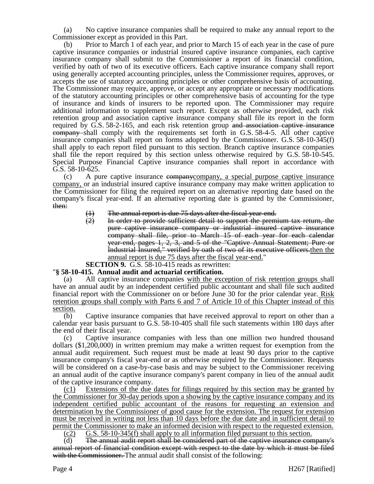(a) No captive insurance companies shall be required to make any annual report to the Commissioner except as provided in this Part.

(b) Prior to March 1 of each year, and prior to March 15 of each year in the case of pure captive insurance companies or industrial insured captive insurance companies, each captive insurance company shall submit to the Commissioner a report of its financial condition, verified by oath of two of its executive officers. Each captive insurance company shall report using generally accepted accounting principles, unless the Commissioner requires, approves, or accepts the use of statutory accounting principles or other comprehensive basis of accounting. The Commissioner may require, approve, or accept any appropriate or necessary modifications of the statutory accounting principles or other comprehensive basis of accounting for the type of insurance and kinds of insurers to be reported upon. The Commissioner may require additional information to supplement such report. Except as otherwise provided, each risk retention group and association captive insurance company shall file its report in the form required by G.S. 58-2-165, and each risk retention group and association captive insurance company shall comply with the requirements set forth in G.S. 58-4-5. All other captive insurance companies shall report on forms adopted by the Commissioner. G.S. 58-10-345(f) shall apply to each report filed pursuant to this section. Branch captive insurance companies shall file the report required by this section unless otherwise required by G.S. 58-10-545. Special Purpose Financial Captive insurance companies shall report in accordance with G.S. 58-10-625.

(c) A pure captive insurance companycompany, a special purpose captive insurance company, or an industrial insured captive insurance company may make written application to the Commissioner for filing the required report on an alternative reporting date based on the company's fiscal year-end. If an alternative reporting date is granted by the Commissioner, then:

- $(1)$  The annual report is due 75 days after the fiscal year-end.<br> $(2)$  In order to provide sufficient detail to support the prem
- In order to provide sufficient detail to support the premium tax return, the pure captive insurance company or industrial insured captive insurance company shall file, prior to March 15 of each year for each calendar year-end, pages 1, 2, 3, and 5 of the "Captive Annual Statement; Pure or Industrial Insured," verified by oath of two of its executive officers.then the annual report is due 75 days after the fiscal year-end."
- **SECTION 9.** G.S. 58-10-415 reads as rewritten:

## "**§ 58-10-415. Annual audit and actuarial certification.**

(a) All captive insurance companies with the exception of risk retention groups shall have an annual audit by an independent certified public accountant and shall file such audited financial report with the Commissioner on or before June 30 for the prior calendar year. Risk retention groups shall comply with Parts 6 and 7 of Article 10 of this Chapter instead of this section.

(b) Captive insurance companies that have received approval to report on other than a calendar year basis pursuant to G.S. 58-10-405 shall file such statements within 180 days after the end of their fiscal year.

(c) Captive insurance companies with less than one million two hundred thousand dollars (\$1,200,000) in written premium may make a written request for exemption from the annual audit requirement. Such request must be made at least 90 days prior to the captive insurance company's fiscal year-end or as otherwise required by the Commissioner. Requests will be considered on a case-by-case basis and may be subject to the Commissioner receiving an annual audit of the captive insurance company's parent company in lieu of the annual audit of the captive insurance company.

(c1) Extensions of the due dates for filings required by this section may be granted by the Commissioner for 30-day periods upon a showing by the captive insurance company and its independent certified public accountant of the reasons for requesting an extension and determination by the Commissioner of good cause for the extension. The request for extension must be received in writing not less than 10 days before the due date and in sufficient detail to permit the Commissioner to make an informed decision with respect to the requested extension.

 $(c2)$  G.S. 58-10-345(f) shall apply to all information filed pursuant to this section.

(d) The annual audit report shall be considered part of the captive insurance company's annual report of financial condition except with respect to the date by which it must be filed with the Commissioner. The annual audit shall consist of the following: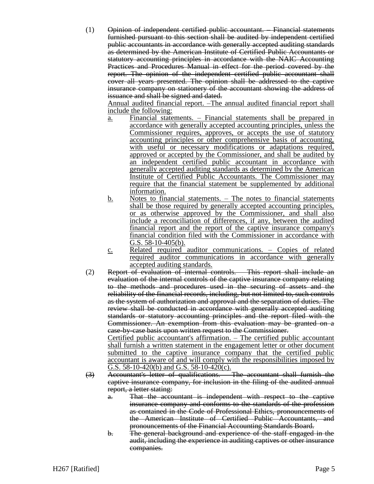(1) Opinion of independent certified public accountant. – Financial statements furnished pursuant to this section shall be audited by independent certified public accountants in accordance with generally accepted auditing standards as determined by the American Institute of Certified Public Accountants or statutory accounting principles in accordance with the NAIC Accounting Practices and Procedures Manual in effect for the period covered by the report. The opinion of the independent certified public accountant shall cover all years presented. The opinion shall be addressed to the captive insurance company on stationery of the accountant showing the address of issuance and shall be signed and dated.

Annual audited financial report. –The annual audited financial report shall include the following:

- a. Financial statements. Financial statements shall be prepared in accordance with generally accepted accounting principles, unless the Commissioner requires, approves, or accepts the use of statutory accounting principles or other comprehensive basis of accounting, with useful or necessary modifications or adaptations required, approved or accepted by the Commissioner, and shall be audited by an independent certified public accountant in accordance with generally accepted auditing standards as determined by the American Institute of Certified Public Accountants. The Commissioner may require that the financial statement be supplemented by additional information.
- b. Notes to financial statements. The notes to financial statements shall be those required by generally accepted accounting principles, or as otherwise approved by the Commissioner, and shall also include a reconciliation of differences, if any, between the audited financial report and the report of the captive insurance company's financial condition filed with the Commissioner in accordance with G.S. 58-10-405(b).
- c. Related required auditor communications. Copies of related required auditor communications in accordance with generally accepted auditing standards.
- (2) Report of evaluation of internal controls. This report shall include an evaluation of the internal controls of the captive insurance company relating to the methods and procedures used in the securing of assets and the reliability of the financial records, including, but not limited to, such controls as the system of authorization and approval and the separation of duties. The review shall be conducted in accordance with generally accepted auditing standards or statutory accounting principles and the report filed with the Commissioner. An exemption from this evaluation may be granted on a case-by-case basis upon written request to the Commissioner.

Certified public accountant's affirmation. – The certified public accountant shall furnish a written statement in the engagement letter or other document submitted to the captive insurance company that the certified public accountant is aware of and will comply with the responsibilities imposed by G.S.  $58-10-420(b)$  and G.S.  $58-10-420(c)$ .

- (3) Accountant's letter of qualifications. The accountant shall furnish the captive insurance company, for inclusion in the filing of the audited annual report, a letter stating:
	- a. That the accountant is independent with respect to the captive insurance company and conforms to the standards of the profession as contained in the Code of Professional Ethics, pronouncements of the American Institute of Certified Public Accountants, and pronouncements of the Financial Accounting Standards Board.
	- b. The general background and experience of the staff engaged in the audit, including the experience in auditing captives or other insurance companies.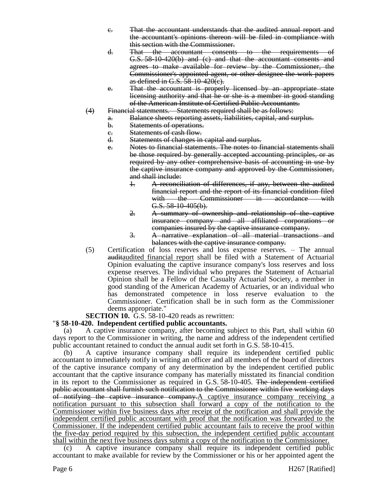- c. That the accountant understands that the audited annual report and the accountant's opinions thereon will be filed in compliance with this section with the Commissioner.
- d. That the accountant consents to the requirements of G.S. 58-10-420(b) and (c) and that the accountant consents and agrees to make available for review by the Commissioner, the Commissioner's appointed agent, or other designee the work papers as defined in G.S. 58-10-420(c).
- e. That the accountant is properly licensed by an appropriate state licensing authority and that he or she is a member in good standing of the American Institute of Certified Public Accountants.
- (4) Financial statements. Statements required shall be as follows:
	- a. Balance sheets reporting assets, liabilities, capital, and surplus.
		- b. Statements of operations.
		- e. Statements of cash flow.<br>d. Statements of changes in
		- Statements of changes in capital and surplus.
		- e. Notes to financial statements. The notes to financial statements shall be those required by generally accepted accounting principles, or as required by any other comprehensive basis of accounting in use by the captive insurance company and approved by the Commissioner, and shall include:
			- 1. A reconciliation of differences, if any, between the audited financial report and the report of its financial condition filed with the Commissioner in accordance with G.S. 58-10-405(b).
			- 2. A summary of ownership and relationship of the captive insurance company and all affiliated corporations or companies insured by the captive insurance company.
			- 3. A narrative explanation of all material transactions and balances with the captive insurance company.
- (5) Certification of loss reserves and loss expense reserves. The annual auditaudited financial report shall be filed with a Statement of Actuarial Opinion evaluating the captive insurance company's loss reserves and loss expense reserves. The individual who prepares the Statement of Actuarial Opinion shall be a Fellow of the Casualty Actuarial Society, a member in good standing of the American Academy of Actuaries, or an individual who has demonstrated competence in loss reserve evaluation to the Commissioner. Certification shall be in such form as the Commissioner deems appropriate."

## **SECTION 10.** G.S. 58-10-420 reads as rewritten:

## "**§ 58-10-420. Independent certified public accountants.**

(a) A captive insurance company, after becoming subject to this Part, shall within 60 days report to the Commissioner in writing, the name and address of the independent certified public accountant retained to conduct the annual audit set forth in G.S. 58-10-415.

(b) A captive insurance company shall require its independent certified public accountant to immediately notify in writing an officer and all members of the board of directors of the captive insurance company of any determination by the independent certified public accountant that the captive insurance company has materially misstated its financial condition in its report to the Commissioner as required in G.S. 58-10-405. The independent certified public accountant shall furnish such notification to the Commissioner within five working days of notifying the captive insurance company.A captive insurance company receiving a notification pursuant to this subsection shall forward a copy of the notification to the Commissioner within five business days after receipt of the notification and shall provide the independent certified public accountant with proof that the notification was forwarded to the Commissioner. If the independent certified public accountant fails to receive the proof within the five-day period required by this subsection, the independent certified public accountant shall within the next five business days submit a copy of the notification to the Commissioner.

(c) A captive insurance company shall require its independent certified public accountant to make available for review by the Commissioner or his or her appointed agent the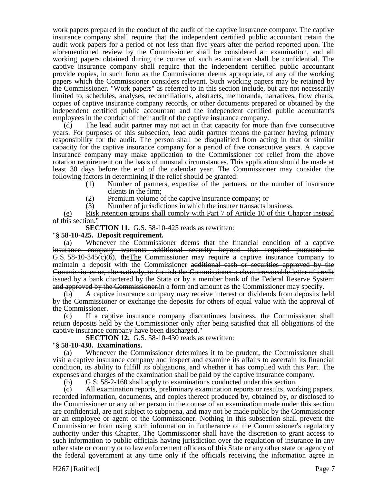work papers prepared in the conduct of the audit of the captive insurance company. The captive insurance company shall require that the independent certified public accountant retain the audit work papers for a period of not less than five years after the period reported upon. The aforementioned review by the Commissioner shall be considered an examination, and all working papers obtained during the course of such examination shall be confidential. The captive insurance company shall require that the independent certified public accountant provide copies, in such form as the Commissioner deems appropriate, of any of the working papers which the Commissioner considers relevant. Such working papers may be retained by the Commissioner. "Work papers" as referred to in this section include, but are not necessarily limited to, schedules, analyses, reconciliations, abstracts, memoranda, narratives, flow charts, copies of captive insurance company records, or other documents prepared or obtained by the independent certified public accountant and the independent certified public accountant's employees in the conduct of their audit of the captive insurance company.

The lead audit partner may not act in that capacity for more than five consecutive years. For purposes of this subsection, lead audit partner means the partner having primary responsibility for the audit. The person shall be disqualified from acting in that or similar capacity for the captive insurance company for a period of five consecutive years. A captive insurance company may make application to the Commissioner for relief from the above rotation requirement on the basis of unusual circumstances. This application should be made at least 30 days before the end of the calendar year. The Commissioner may consider the following factors in determining if the relief should be granted:

- (1) Number of partners, expertise of the partners, or the number of insurance clients in the firm;
- (2) Premium volume of the captive insurance company; or
- (3) Number of jurisdictions in which the insurer transacts business.

(e) Risk retention groups shall comply with Part 7 of Article 10 of this Chapter instead of this section."

**SECTION 11.** G.S. 58-10-425 reads as rewritten:

#### "**§ 58-10-425. Deposit requirement.**

(a) Whenever the Commissioner deems that the financial condition of a captive insurance company warrants additional security beyond that required pursuant to G.S. 58-10-345(c)(6), theThe Commissioner may require a captive insurance company to maintain a deposit with the Commissioner additional cash or securities approved by the Commissioner or, alternatively, to furnish the Commissioner a clean irrevocable letter of credit issued by a bank chartered by the State or by a member bank of the Federal Reserve System and approved by the Commissioner.in a form and amount as the Commissioner may specify.

(b) A captive insurance company may receive interest or dividends from deposits held by the Commissioner or exchange the deposits for others of equal value with the approval of the Commissioner.

(c) If a captive insurance company discontinues business, the Commissioner shall return deposits held by the Commissioner only after being satisfied that all obligations of the captive insurance company have been discharged."

**SECTION 12.** G.S. 58-10-430 reads as rewritten:

### "**§ 58-10-430. Examinations.**

(a) Whenever the Commissioner determines it to be prudent, the Commissioner shall visit a captive insurance company and inspect and examine its affairs to ascertain its financial condition, its ability to fulfill its obligations, and whether it has complied with this Part. The expenses and charges of the examination shall be paid by the captive insurance company.

(b) G.S. 58-2-160 shall apply to examinations conducted under this section.

(c) All examination reports, preliminary examination reports or results, working papers, recorded information, documents, and copies thereof produced by, obtained by, or disclosed to the Commissioner or any other person in the course of an examination made under this section are confidential, are not subject to subpoena, and may not be made public by the Commissioner or an employee or agent of the Commissioner. Nothing in this subsection shall prevent the Commissioner from using such information in furtherance of the Commissioner's regulatory authority under this Chapter. The Commissioner shall have the discretion to grant access to such information to public officials having jurisdiction over the regulation of insurance in any other state or country or to law enforcement officers of this State or any other state or agency of the federal government at any time only if the officials receiving the information agree in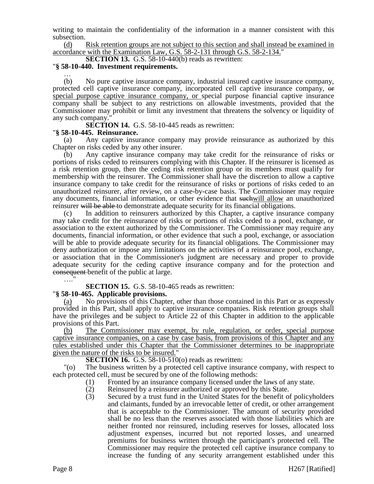writing to maintain the confidentiality of the information in a manner consistent with this subsection.

(d) Risk retention groups are not subject to this section and shall instead be examined in accordance with the Examination Law, G.S. 58-2-131 through G.S. 58-2-134."

**SECTION 13.** G.S. 58-10-440(b) reads as rewritten:

#### "**§ 58-10-440. Investment requirements.** …

(b) No pure captive insurance company, industrial insured captive insurance company, protected cell captive insurance company, incorporated cell captive insurance company, or special purpose captive insurance company, or special purpose financial captive insurance company shall be subject to any restrictions on allowable investments, provided that the Commissioner may prohibit or limit any investment that threatens the solvency or liquidity of any such company.

**SECTION 14.** G.S. 58-10-445 reads as rewritten:

### "**§ 58-10-445. Reinsurance.**

Any captive insurance company may provide reinsurance as authorized by this Chapter on risks ceded by any other insurer.

(b) Any captive insurance company may take credit for the reinsurance of risks or portions of risks ceded to reinsurers complying with this Chapter. If the reinsurer is licensed as a risk retention group, then the ceding risk retention group or its members must qualify for membership with the reinsurer. The Commissioner shall have the discretion to allow a captive insurance company to take credit for the reinsurance of risks or portions of risks ceded to an unauthorized reinsurer, after review, on a case-by-case basis. The Commissioner may require any documents, financial information, or other evidence that suchwill allow an unauthorized reinsurer will be able to demonstrate adequate security for its financial obligations.

(c) In addition to reinsurers authorized by this Chapter, a captive insurance company may take credit for the reinsurance of risks or portions of risks ceded to a pool, exchange, or association to the extent authorized by the Commissioner. The Commissioner may require any documents, financial information, or other evidence that such a pool, exchange, or association will be able to provide adequate security for its financial obligations. The Commissioner may deny authorization or impose any limitations on the activities of a reinsurance pool, exchange, or association that in the Commissioner's judgment are necessary and proper to provide adequate security for the ceding captive insurance company and for the protection and consequent benefit of the public at large.

### **SECTION 15.** G.S. 58-10-465 reads as rewritten:

### "**§ 58-10-465. Applicable provisions.**

(a) No provisions of this Chapter, other than those contained in this Part or as expressly provided in this Part, shall apply to captive insurance companies. Risk retention groups shall have the privileges and be subject to Article 22 of this Chapter in addition to the applicable provisions of this Part.

The Commissioner may exempt, by rule, regulation, or order, special purpose captive insurance companies, on a case by case basis, from provisions of this Chapter and any rules established under this Chapter that the Commissioner determines to be inappropriate given the nature of the risks to be insured."

**SECTION 16.** G.S. 58-10-510(o) reads as rewritten:

"(o) The business written by a protected cell captive insurance company, with respect to each protected cell, must be secured by one of the following methods:

- (1) Fronted by an insurance company licensed under the laws of any state.
- (2) Reinsured by a reinsurer authorized or approved by this State.
- (3) Secured by a trust fund in the United States for the benefit of policyholders and claimants, funded by an irrevocable letter of credit, or other arrangement that is acceptable to the Commissioner. The amount of security provided shall be no less than the reserves associated with those liabilities which are neither fronted nor reinsured, including reserves for losses, allocated loss adjustment expenses, incurred but not reported losses, and unearned premiums for business written through the participant's protected cell. The Commissioner may require the protected cell captive insurance company to increase the funding of any security arrangement established under this

…<br>……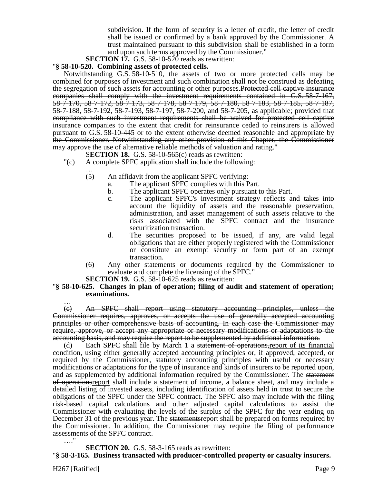subdivision. If the form of security is a letter of credit, the letter of credit shall be issued or confirmed by a bank approved by the Commissioner. A trust maintained pursuant to this subdivision shall be established in a form and upon such terms approved by the Commissioner."

**SECTION 17.** G.S. 58-10-520 reads as rewritten:

#### "**§ 58-10-520. Combining assets of protected cells.**

Notwithstanding G.S. 58-10-510, the assets of two or more protected cells may be combined for purposes of investment and such combination shall not be construed as defeating the segregation of such assets for accounting or other purposes. Protected cell captive insurance companies shall comply with the investment requirements contained in G.S. 58-7-167, 58-7-170, 58-7-172, 58-7-173, 58-7-178, 58-7-179, 58-7-180, 58-7-183, 58-7-185, 58-7-187, 58-7-188, 58-7-192, 58-7-193, 58-7-197, 58-7-200, and 58-7-205, as applicable; provided that compliance with such investment requirements shall be waived for protected cell captive insurance companies to the extent that credit for reinsurance ceded to reinsurers is allowed pursuant to G.S. 58-10-445 or to the extent otherwise deemed reasonable and appropriate by the Commissioner. Notwithstanding any other provision of this Chapter, the Commissioner may approve the use of alternative reliable methods of valuation and rating."

- S**ECTION 18.** G.S. 58-10-565(c) reads as rewritten:
- "(c) A complete SPFC application shall include the following:
	- … (5) An affidavit from the applicant SPFC verifying:
		- a. The applicant SPFC complies with this Part.
		- b. The applicant SPFC operates only pursuant to this Part.
		- c. The applicant SPFC's investment strategy reflects and takes into account the liquidity of assets and the reasonable preservation, administration, and asset management of such assets relative to the risks associated with the SPFC contract and the insurance securitization transaction.
		- d. The securities proposed to be issued, if any, are valid legal obligations that are either properly registered with the Commissioner or constitute an exempt security or form part of an exempt transaction.
	- (6) Any other statements or documents required by the Commissioner to evaluate and complete the licensing of the SPFC."

**SECTION 19.** G.S. 58-10-625 reads as rewritten:

#### "**§ 58-10-625. Changes in plan of operation; filing of audit and statement of operation; examinations.**

… (c) An SPFC shall report using statutory accounting principles, unless the Commissioner requires, approves, or accepts the use of generally accepted accounting principles or other comprehensive basis of accounting. In each case the Commissioner may require, approve, or accept any appropriate or necessary modifications or adaptations to the accounting basis, and may require the report to be supplemented by additional information.

Each SPFC shall file by March 1 a statement of operations, report of its financial condition, using either generally accepted accounting principles or, if approved, accepted, or required by the Commissioner, statutory accounting principles with useful or necessary modifications or adaptations for the type of insurance and kinds of insurers to be reported upon, and as supplemented by additional information required by the Commissioner. The statement of operationsreport shall include a statement of income, a balance sheet, and may include a detailed listing of invested assets, including identification of assets held in trust to secure the obligations of the SPFC under the SPFC contract. The SPFC also may include with the filing risk-based capital calculations and other adjusted capital calculations to assist the Commissioner with evaluating the levels of the surplus of the SPFC for the year ending on December 31 of the previous year. The statements report shall be prepared on forms required by the Commissioner. In addition, the Commissioner may require the filing of performance assessments of the SPFC contract. …."

**SECTION 20.** G.S. 58-3-165 reads as rewritten:

"**§ 58-3-165. Business transacted with producer-controlled property or casualty insurers.**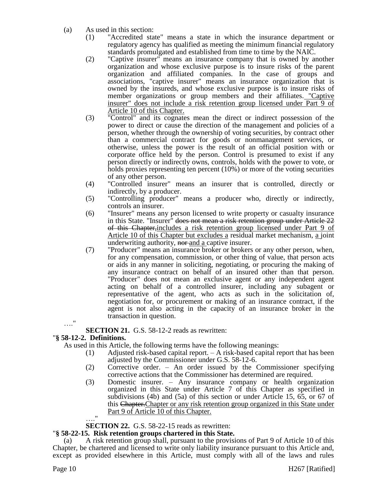- (a) As used in this section:
	- (1) "Accredited state" means a state in which the insurance department or regulatory agency has qualified as meeting the minimum financial regulatory standards promulgated and established from time to time by the NAIC.
	- (2) "Captive insurer" means an insurance company that is owned by another organization and whose exclusive purpose is to insure risks of the parent organization and affiliated companies. In the case of groups and associations, "captive insurer" means an insurance organization that is owned by the insureds, and whose exclusive purpose is to insure risks of member organizations or group members and their affiliates. "Captive insurer" does not include a risk retention group licensed under Part 9 of Article 10 of this Chapter.
	- (3) "Control" and its cognates mean the direct or indirect possession of the power to direct or cause the direction of the management and policies of a person, whether through the ownership of voting securities, by contract other than a commercial contract for goods or nonmanagement services, or otherwise, unless the power is the result of an official position with or corporate office held by the person. Control is presumed to exist if any person directly or indirectly owns, controls, holds with the power to vote, or holds proxies representing ten percent (10%) or more of the voting securities of any other person.
	- (4) "Controlled insurer" means an insurer that is controlled, directly or indirectly, by a producer.
	- (5) "Controlling producer" means a producer who, directly or indirectly, controls an insurer.
	- (6) "Insurer" means any person licensed to write property or casualty insurance in this State. "Insurer" does not mean a risk retention group under Article 22 of this Chapter,includes a risk retention group licensed under Part 9 of Article 10 of this Chapter but excludes a residual market mechanism, a joint underwriting authority, nor and a captive insurer.
	- (7) "Producer" means an insurance broker or brokers or any other person, when, for any compensation, commission, or other thing of value, that person acts or aids in any manner in soliciting, negotiating, or procuring the making of any insurance contract on behalf of an insured other than that person. "Producer" does not mean an exclusive agent or any independent agent acting on behalf of a controlled insurer, including any subagent or representative of the agent, who acts as such in the solicitation of, negotiation for, or procurement or making of an insurance contract, if the agent is not also acting in the capacity of an insurance broker in the transaction in question.

**SECTION 21.** G.S. 58-12-2 reads as rewritten:

## "**§ 58-12-2. Definitions.**

…."

As used in this Article, the following terms have the following meanings:

- (1) Adjusted risk-based capital report. A risk-based capital report that has been adjusted by the Commissioner under G.S. 58-12-6.
- (2) Corrective order. An order issued by the Commissioner specifying corrective actions that the Commissioner has determined are required.
- (3) Domestic insurer. Any insurance company or health organization organized in this State under Article 7 of this Chapter as specified in subdivisions (4b) and (5a) of this section or under Article 15, 65, or 67 of this Chapter.Chapter or any risk retention group organized in this State under Part 9 of Article 10 of this Chapter.

 $^{\rm{ii}}$ 

**SECTION 22.** G.S. 58-22-15 reads as rewritten:

# "**§ 58-22-15. Risk retention groups chartered in this State.**

(a) A risk retention group shall, pursuant to the provisions of Part 9 of Article 10 of this Chapter, be chartered and licensed to write only liability insurance pursuant to this Article and, except as provided elsewhere in this Article, must comply with all of the laws and rules